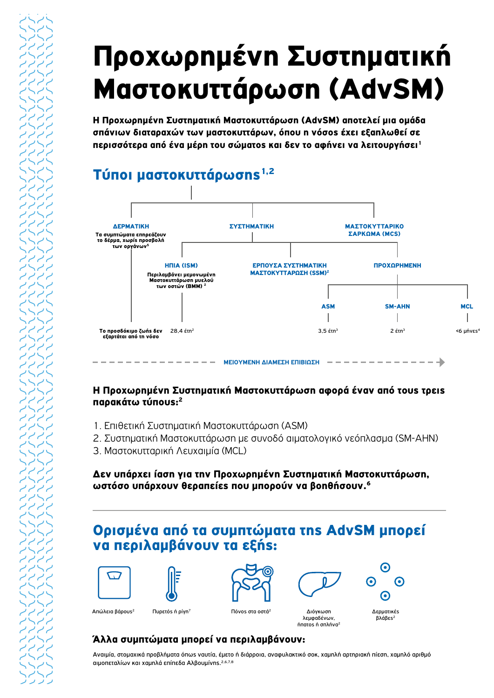Η Προχωρημένη Συστηματική Μαστοκυττάρωση (AdvSM) αποτελεί μια ομάδα σπάνιων διαταραχών των μαστοκυττάρων, όπου η νόσοs έχει εξαπλωθεί σε περισσότερα από ένα μέρη του σώματοs και δεν το αφήνει να λειτουργήσει<sup>1</sup>

# Τύποι μαστοκυττάρωσηs<sup>1,2</sup>



#### Η Προχωρημένη Συστηματική Μαστοκυττάρωση αφορά έναν από τους τρεις παρακάτω τύπουs:<sup>2</sup> επιχειρήσεις του καταστικό και το προσκευτικό και το προσκευτικό και το προσκευτικό και το π

- 1. Επιθετική Συστηματική Μαστοκυττάρωση (ASM)<br>2. Συστοματική Μαστονικτάρωση με συνοδέσμου
- 2. Συστηματική Μαστοκυττάρωση με συνοδό αιματολογικό νεόπλασμα (SM-AHN)<br>2. Mastewisterwith Aswawi(s (MCL)
- 3. Μαστοκυτταρική Λευχαιμία (MCL)

#### Δεν υπάρχει ίαση για την Προχωρημένη Συστηματική Μαστοκυττάρωση, ωστόσο υπάρχουν θεραπείεs που μπορούν να βοηθήσουν.<sup>6</sup>

## Ορισμένα από τα συμπτώματα της AdvSM μπορεί ορισμένα από τα σομπτωμάτα τη*ς λάνοι*<br>να περιλαμβάνουν τα εξής:









λεμφαδένων,



Απώλεια βάρους<sup>2</sup> Πυρετός ή ρίγη<sup>7</sup> Πόνος στα οστά<sup>2</sup> Διόγκωση ήπατος ή σπλήνα2  $T = \frac{1}{2}$  Γιαντιά το πρόγου πρόνος στα οστά<sup>2</sup> Διόγκωση

βλάβεs<sup>2</sup>

### Άλλα συμπτώματα μπορεί να περιλαμβάνουν:

.<br>Αναιμία, στομαχικά προβλήματα όπωs ναυτία, έμετο ή διάρροια, αναφυλακτικό σοκ, χαμηλή αρτηριακή πίεση, χαμηλό αριθμό αιμοπεταλίων και χαμηλά επίπεδα Αλβουμίνης.2,6,7,8 valpia, otopaxika hpophilpata ohas vaotia, epeto h olappoia, avaoohaktiko ook, xap